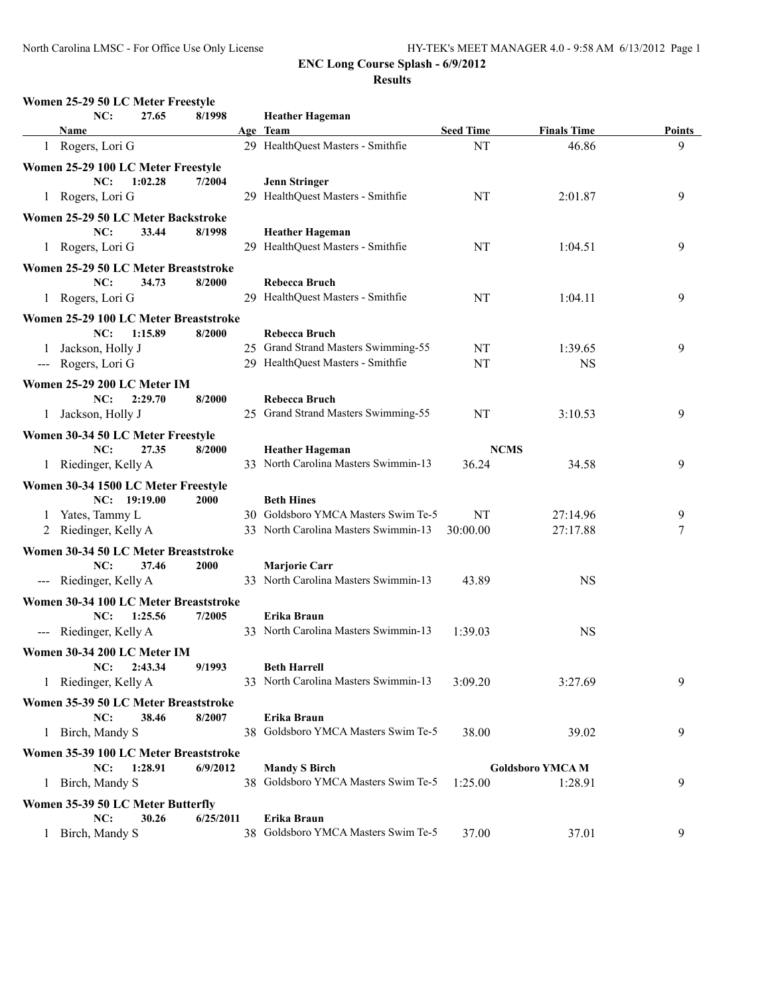| NC:                                   | 27.65        | 8/1998      |    | <b>Heather Hageman</b>               |                  |                        |        |
|---------------------------------------|--------------|-------------|----|--------------------------------------|------------------|------------------------|--------|
| Name                                  |              |             |    | Age Team                             | <b>Seed Time</b> | <b>Finals Time</b>     | Points |
| 1 Rogers, Lori G                      |              |             |    | 29 HealthQuest Masters - Smithfie    | NT               | 46.86                  | 9      |
| Women 25-29 100 LC Meter Freestyle    |              |             |    |                                      |                  |                        |        |
| NC:                                   | 1:02.28      | 7/2004      |    | <b>Jenn Stringer</b>                 |                  |                        |        |
| 1 Rogers, Lori G                      |              |             |    | 29 HealthQuest Masters - Smithfie    | NT               | 2:01.87                | 9      |
| Women 25-29 50 LC Meter Backstroke    |              |             |    |                                      |                  |                        |        |
| NC:                                   | 33.44        | 8/1998      |    | <b>Heather Hageman</b>               |                  |                        |        |
| 1 Rogers, Lori G                      |              |             |    | 29 HealthQuest Masters - Smithfie    | NT               | 1:04.51                | 9      |
| Women 25-29 50 LC Meter Breaststroke  |              |             |    |                                      |                  |                        |        |
| NC:                                   | 34.73        | 8/2000      |    | <b>Rebecca Bruch</b>                 |                  |                        |        |
| 1 Rogers, Lori G                      |              |             |    | 29 HealthQuest Masters - Smithfie    | NT               | 1:04.11                | 9      |
| Women 25-29 100 LC Meter Breaststroke |              |             |    |                                      |                  |                        |        |
| NC:                                   | 1:15.89      | 8/2000      |    | <b>Rebecca Bruch</b>                 |                  |                        |        |
| Jackson, Holly J                      |              |             |    | 25 Grand Strand Masters Swimming-55  | NT               | 1:39.65                | 9      |
| --- Rogers, Lori G                    |              |             |    | 29 HealthQuest Masters - Smithfie    | NT               | <b>NS</b>              |        |
| Women 25-29 200 LC Meter IM           |              |             |    |                                      |                  |                        |        |
| NC:                                   | 2:29.70      | 8/2000      |    | <b>Rebecca Bruch</b>                 |                  |                        |        |
| 1 Jackson, Holly J                    |              |             |    | 25 Grand Strand Masters Swimming-55  | NT               | 3:10.53                | 9      |
| Women 30-34 50 LC Meter Freestyle     |              |             |    |                                      |                  |                        |        |
| NC:                                   | 27.35        | 8/2000      |    | <b>Heather Hageman</b>               | <b>NCMS</b>      |                        |        |
| 1 Riedinger, Kelly A                  |              |             |    | 33 North Carolina Masters Swimmin-13 | 36.24            | 34.58                  | 9      |
| Women 30-34 1500 LC Meter Freestyle   |              |             |    |                                      |                  |                        |        |
|                                       | NC: 19:19.00 | <b>2000</b> |    | <b>Beth Hines</b>                    |                  |                        |        |
| 1 Yates, Tammy L                      |              |             |    | 30 Goldsboro YMCA Masters Swim Te-5  | NT               | 27:14.96               | 9      |
| 2 Riedinger, Kelly A                  |              |             |    | 33 North Carolina Masters Swimmin-13 | 30:00.00         | 27:17.88               | 7      |
| Women 30-34 50 LC Meter Breaststroke  |              |             |    |                                      |                  |                        |        |
| NC:                                   | 37.46        | 2000        |    | <b>Marjorie Carr</b>                 |                  |                        |        |
| --- Riedinger, Kelly A                |              |             |    | 33 North Carolina Masters Swimmin-13 | 43.89            | <b>NS</b>              |        |
| Women 30-34 100 LC Meter Breaststroke |              |             |    |                                      |                  |                        |        |
| NC:                                   | 1:25.56      | 7/2005      |    | Erika Braun                          |                  |                        |        |
| --- Riedinger, Kelly A                |              |             |    | 33 North Carolina Masters Swimmin-13 | 1:39.03          | <b>NS</b>              |        |
| Women 30-34 200 LC Meter IM           |              |             |    |                                      |                  |                        |        |
| NC:                                   | 2:43.34      | 9/1993      |    | <b>Beth Harrell</b>                  |                  |                        |        |
| 1 Riedinger, Kelly A                  |              |             |    | 33 North Carolina Masters Swimmin-13 | 3:09.20          | 3:27.69                | 9      |
| Women 35-39 50 LC Meter Breaststroke  |              |             |    |                                      |                  |                        |        |
| NC:                                   | 38.46        | 8/2007      |    | Erika Braun                          |                  |                        |        |
| 1 Birch, Mandy S                      |              |             | 38 | Goldsboro YMCA Masters Swim Te-5     | 38.00            | 39.02                  | 9      |
| Women 35-39 100 LC Meter Breaststroke |              |             |    |                                      |                  |                        |        |
| NC:                                   | 1:28.91      | 6/9/2012    |    | <b>Mandy S Birch</b>                 |                  | <b>Goldsboro YMCAM</b> |        |
| 1 Birch, Mandy S                      |              |             |    | 38 Goldsboro YMCA Masters Swim Te-5  | 1:25.00          | 1:28.91                | 9      |
| Women 35-39 50 LC Meter Butterfly     |              |             |    |                                      |                  |                        |        |
| NC:                                   | 30.26        | 6/25/2011   |    | Erika Braun                          |                  |                        |        |
| 1 Birch, Mandy S                      |              |             |    | 38 Goldsboro YMCA Masters Swim Te-5  | 37.00            | 37.01                  | 9      |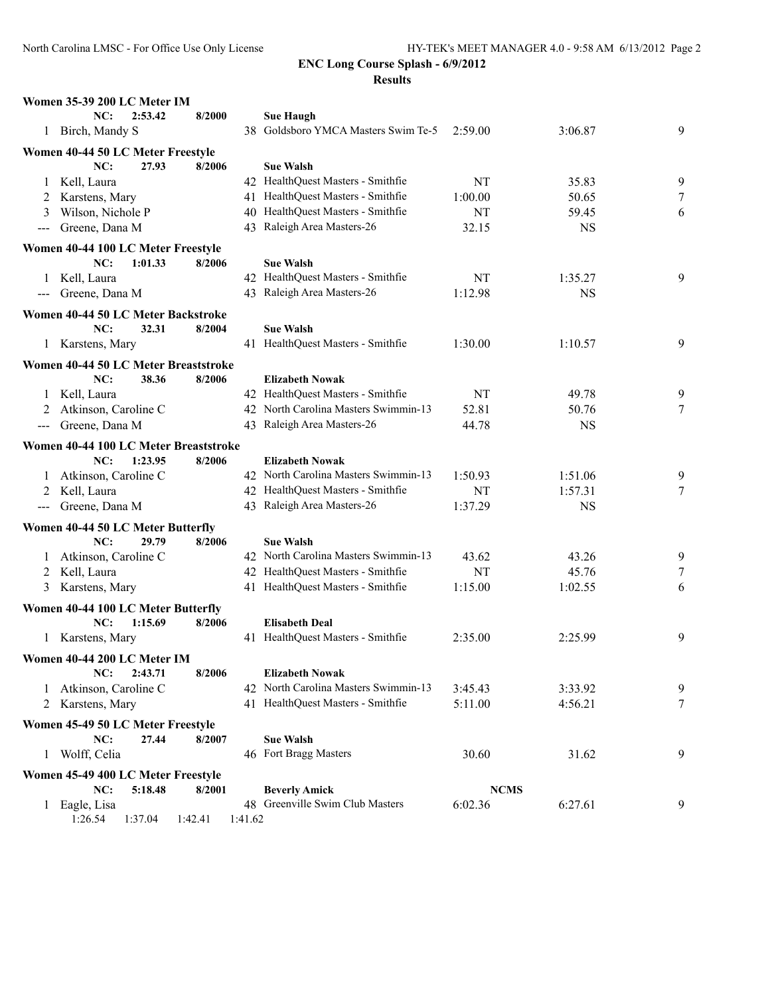| NC:<br>2:53.42<br>8/2000<br><b>Sue Haugh</b><br>Goldsboro YMCA Masters Swim Te-5<br>1 Birch, Mandy S<br>3:06.87<br>38<br>2:59.00<br>Women 40-44 50 LC Meter Freestyle<br>NC:<br>27.93<br>8/2006<br><b>Sue Walsh</b><br>1 Kell, Laura<br>42 HealthQuest Masters - Smithfie<br>NT<br>35.83<br>41 HealthQuest Masters - Smithfie<br>Karstens, Mary<br>1:00.00<br>50.65<br>2 | 9<br>9<br>7<br>6<br>9 |
|--------------------------------------------------------------------------------------------------------------------------------------------------------------------------------------------------------------------------------------------------------------------------------------------------------------------------------------------------------------------------|-----------------------|
|                                                                                                                                                                                                                                                                                                                                                                          |                       |
|                                                                                                                                                                                                                                                                                                                                                                          |                       |
|                                                                                                                                                                                                                                                                                                                                                                          |                       |
|                                                                                                                                                                                                                                                                                                                                                                          |                       |
|                                                                                                                                                                                                                                                                                                                                                                          |                       |
|                                                                                                                                                                                                                                                                                                                                                                          |                       |
| 40 HealthQuest Masters - Smithfie<br>Wilson, Nichole P<br>NT<br>59.45<br>3                                                                                                                                                                                                                                                                                               |                       |
| 43 Raleigh Area Masters-26<br>Greene, Dana M<br>32.15<br><b>NS</b><br>---                                                                                                                                                                                                                                                                                                |                       |
| Women 40-44 100 LC Meter Freestyle                                                                                                                                                                                                                                                                                                                                       |                       |
| 1:01.33<br>NC:<br>8/2006<br><b>Sue Walsh</b>                                                                                                                                                                                                                                                                                                                             |                       |
| 42 HealthQuest Masters - Smithfie<br>Kell, Laura<br>NT<br>1:35.27<br>$\perp$                                                                                                                                                                                                                                                                                             |                       |
| 43 Raleigh Area Masters-26<br>Greene, Dana M<br>1:12.98<br><b>NS</b><br>$---$                                                                                                                                                                                                                                                                                            |                       |
| Women 40-44 50 LC Meter Backstroke                                                                                                                                                                                                                                                                                                                                       |                       |
| NC:<br>32.31<br>8/2004<br><b>Sue Walsh</b>                                                                                                                                                                                                                                                                                                                               |                       |
| 41 HealthQuest Masters - Smithfie<br>1 Karstens, Mary<br>1:30.00<br>1:10.57                                                                                                                                                                                                                                                                                              | 9                     |
| Women 40-44 50 LC Meter Breaststroke                                                                                                                                                                                                                                                                                                                                     |                       |
| NC:<br>38.36<br>8/2006<br><b>Elizabeth Nowak</b>                                                                                                                                                                                                                                                                                                                         |                       |
| 42 HealthQuest Masters - Smithfie<br>1 Kell, Laura<br>NT<br>49.78                                                                                                                                                                                                                                                                                                        | 9                     |
| 42 North Carolina Masters Swimmin-13<br>Atkinson, Caroline C<br>52.81<br>50.76                                                                                                                                                                                                                                                                                           | 7                     |
| 43 Raleigh Area Masters-26<br>44.78<br>--- Greene, Dana M<br><b>NS</b>                                                                                                                                                                                                                                                                                                   |                       |
| Women 40-44 100 LC Meter Breaststroke                                                                                                                                                                                                                                                                                                                                    |                       |
| 1:23.95<br>8/2006<br>NC:<br><b>Elizabeth Nowak</b>                                                                                                                                                                                                                                                                                                                       |                       |
| Atkinson, Caroline C<br>42 North Carolina Masters Swimmin-13<br>1:51.06<br>1:50.93                                                                                                                                                                                                                                                                                       | 9                     |
| 42 HealthQuest Masters - Smithfie<br>Kell, Laura<br>NT<br>1:57.31<br>2                                                                                                                                                                                                                                                                                                   | 7                     |
| 43 Raleigh Area Masters-26<br>Greene, Dana M<br>1:37.29<br><b>NS</b>                                                                                                                                                                                                                                                                                                     |                       |
| Women 40-44 50 LC Meter Butterfly                                                                                                                                                                                                                                                                                                                                        |                       |
| NC:<br>29.79<br>8/2006<br><b>Sue Walsh</b>                                                                                                                                                                                                                                                                                                                               |                       |
| 42 North Carolina Masters Swimmin-13<br>1 Atkinson, Caroline C<br>43.26<br>43.62                                                                                                                                                                                                                                                                                         | 9                     |
| 42 HealthQuest Masters - Smithfie<br>2 Kell, Laura<br>NT<br>45.76                                                                                                                                                                                                                                                                                                        | 7                     |
| 41 HealthQuest Masters - Smithfie<br>1:15.00<br>1:02.55<br>Karstens, Mary<br>3                                                                                                                                                                                                                                                                                           | 6                     |
| Women 40-44 100 LC Meter Butterfly                                                                                                                                                                                                                                                                                                                                       |                       |
| NC:<br>1:15.69<br>8/2006<br><b>Elisabeth Deal</b>                                                                                                                                                                                                                                                                                                                        |                       |
| 41 HealthQuest Masters - Smithfie<br>2:35.00<br>2:25.99<br>1 Karstens, Mary                                                                                                                                                                                                                                                                                              | 9                     |
| Women 40-44 200 LC Meter IM                                                                                                                                                                                                                                                                                                                                              |                       |
| 2:43.71<br><b>Elizabeth Nowak</b><br>NC:<br>8/2006                                                                                                                                                                                                                                                                                                                       |                       |
| 42 North Carolina Masters Swimmin-13<br>Atkinson, Caroline C<br>3:45.43<br>3:33.92<br>$\Gamma$                                                                                                                                                                                                                                                                           | 9                     |
| 41 HealthQuest Masters - Smithfie<br>5:11.00<br>4:56.21<br>Karstens, Mary<br>2                                                                                                                                                                                                                                                                                           | 7                     |
| Women 45-49 50 LC Meter Freestyle                                                                                                                                                                                                                                                                                                                                        |                       |
| <b>Sue Walsh</b><br>NC:<br>27.44<br>8/2007                                                                                                                                                                                                                                                                                                                               |                       |
| Wolff, Celia<br>46 Fort Bragg Masters<br>30.60<br>31.62<br>$\perp$                                                                                                                                                                                                                                                                                                       | 9                     |
| Women 45-49 400 LC Meter Freestyle                                                                                                                                                                                                                                                                                                                                       |                       |
| <b>NCMS</b><br>5:18.48<br><b>Beverly Amick</b><br>NC:<br>8/2001                                                                                                                                                                                                                                                                                                          |                       |
| 48 Greenville Swim Club Masters<br>6:02.36<br>1 Eagle, Lisa<br>6:27.61                                                                                                                                                                                                                                                                                                   | 9                     |

1:26.54 1:37.04 1:42.41 1:41.62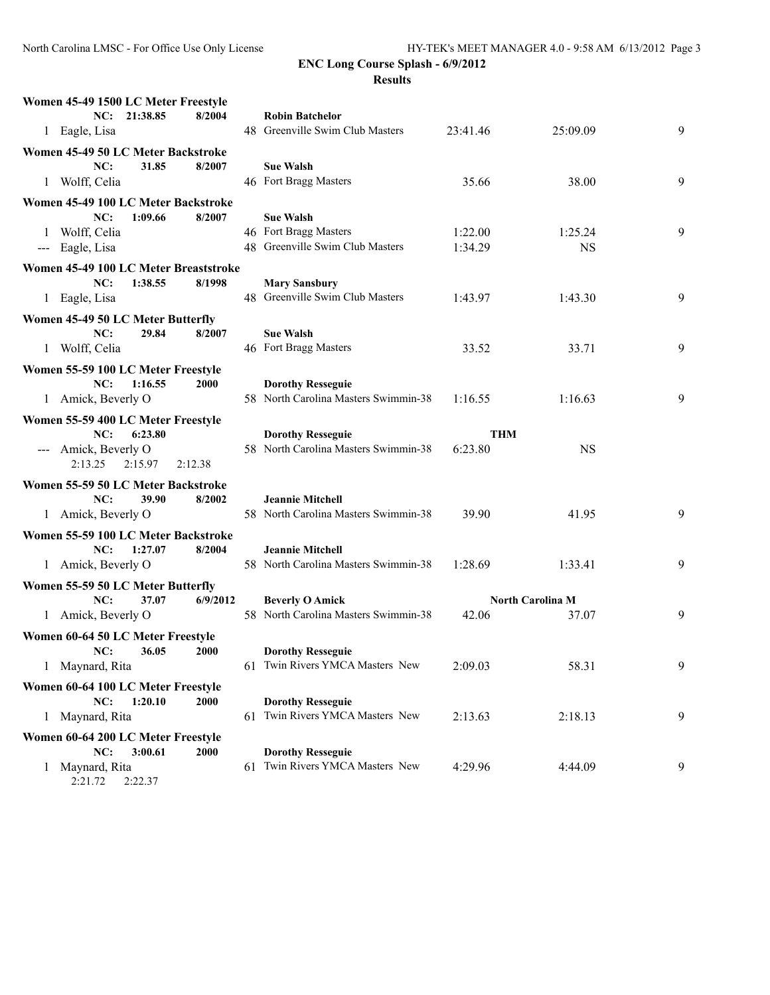| Women 45-49 1500 LC Meter Freestyle                          |                                                             |          |                         |   |
|--------------------------------------------------------------|-------------------------------------------------------------|----------|-------------------------|---|
| 8/2004<br>NC: 21:38.85                                       | <b>Robin Batchelor</b>                                      |          |                         |   |
| 1 Eagle, Lisa                                                | 48 Greenville Swim Club Masters                             | 23:41.46 | 25:09.09                | 9 |
| Women 45-49 50 LC Meter Backstroke                           |                                                             |          |                         |   |
| NC:<br>31.85<br>8/2007                                       | <b>Sue Walsh</b>                                            |          |                         |   |
| 1 Wolff, Celia                                               | 46 Fort Bragg Masters                                       | 35.66    | 38.00                   | 9 |
| Women 45-49 100 LC Meter Backstroke                          |                                                             |          |                         |   |
| NC:<br>1:09.66<br>8/2007                                     | <b>Sue Walsh</b>                                            |          |                         |   |
| 1 Wolff, Celia                                               | 46 Fort Bragg Masters                                       | 1:22.00  | 1:25.24                 | 9 |
| --- Eagle, Lisa                                              | 48 Greenville Swim Club Masters                             | 1:34.29  | <b>NS</b>               |   |
| Women 45-49 100 LC Meter Breaststroke                        |                                                             |          |                         |   |
| NC:<br>1:38.55<br>8/1998                                     | <b>Mary Sansbury</b>                                        |          |                         |   |
| 1 Eagle, Lisa                                                | 48 Greenville Swim Club Masters                             | 1:43.97  | 1:43.30                 | 9 |
| Women 45-49 50 LC Meter Butterfly                            |                                                             |          |                         |   |
| NC:<br>29.84<br>8/2007                                       | <b>Sue Walsh</b>                                            |          |                         |   |
| 1 Wolff, Celia                                               | 46 Fort Bragg Masters                                       | 33.52    | 33.71                   | 9 |
| Women 55-59 100 LC Meter Freestyle                           |                                                             |          |                         |   |
| NC:<br>1:16.55<br>2000                                       | <b>Dorothy Resseguie</b>                                    |          |                         |   |
| 1 Amick, Beverly O                                           | 58 North Carolina Masters Swimmin-38                        | 1:16.55  | 1:16.63                 | 9 |
| Women 55-59 400 LC Meter Freestyle                           |                                                             |          |                         |   |
| NC:<br>6:23.80                                               | <b>Dorothy Resseguie</b>                                    | THM      |                         |   |
| --- Amick, Beverly O                                         | 58 North Carolina Masters Swimmin-38                        | 6:23.80  | <b>NS</b>               |   |
| 2:13.25<br>2:15.97<br>2:12.38                                |                                                             |          |                         |   |
| Women 55-59 50 LC Meter Backstroke                           |                                                             |          |                         |   |
| NC:<br>39.90<br>8/2002                                       | <b>Jeannie Mitchell</b>                                     |          |                         |   |
| 1 Amick, Beverly O                                           | 58 North Carolina Masters Swimmin-38                        | 39.90    | 41.95                   | 9 |
| Women 55-59 100 LC Meter Backstroke                          |                                                             |          |                         |   |
| NC:<br>1:27.07<br>8/2004                                     | <b>Jeannie Mitchell</b>                                     |          |                         |   |
| 1 Amick, Beverly O                                           | 58 North Carolina Masters Swimmin-38                        | 1:28.69  | 1:33.41                 | 9 |
| Women 55-59 50 LC Meter Butterfly                            |                                                             |          |                         |   |
| NC:<br>37.07<br>6/9/2012                                     | <b>Beverly O Amick</b>                                      |          | <b>North Carolina M</b> |   |
| 1 Amick, Beverly O                                           | 58 North Carolina Masters Swimmin-38                        | 42.06    | 37.07                   | 9 |
| Women 60-64 50 LC Meter Freestyle                            |                                                             |          |                         |   |
| NC:<br>36.05<br><b>2000</b>                                  | <b>Dorothy Resseguie</b>                                    |          |                         |   |
| 1 Maynard, Rita                                              | 61 Twin Rivers YMCA Masters New                             | 2:09.03  | 58.31                   | 9 |
|                                                              |                                                             |          |                         |   |
| Women 60-64 100 LC Meter Freestyle<br>NC:<br>1:20.10<br>2000 | <b>Dorothy Resseguie</b>                                    |          |                         |   |
| 1 Maynard, Rita                                              | 61 Twin Rivers YMCA Masters New                             | 2:13.63  | 2:18.13                 | 9 |
|                                                              |                                                             |          |                         |   |
| Women 60-64 200 LC Meter Freestyle<br>NC:<br>3:00.61<br>2000 |                                                             |          |                         |   |
| Maynard, Rita<br>1                                           | <b>Dorothy Resseguie</b><br>61 Twin Rivers YMCA Masters New | 4:29.96  | 4:44.09                 | 9 |
| 2:22.37<br>2:21.72                                           |                                                             |          |                         |   |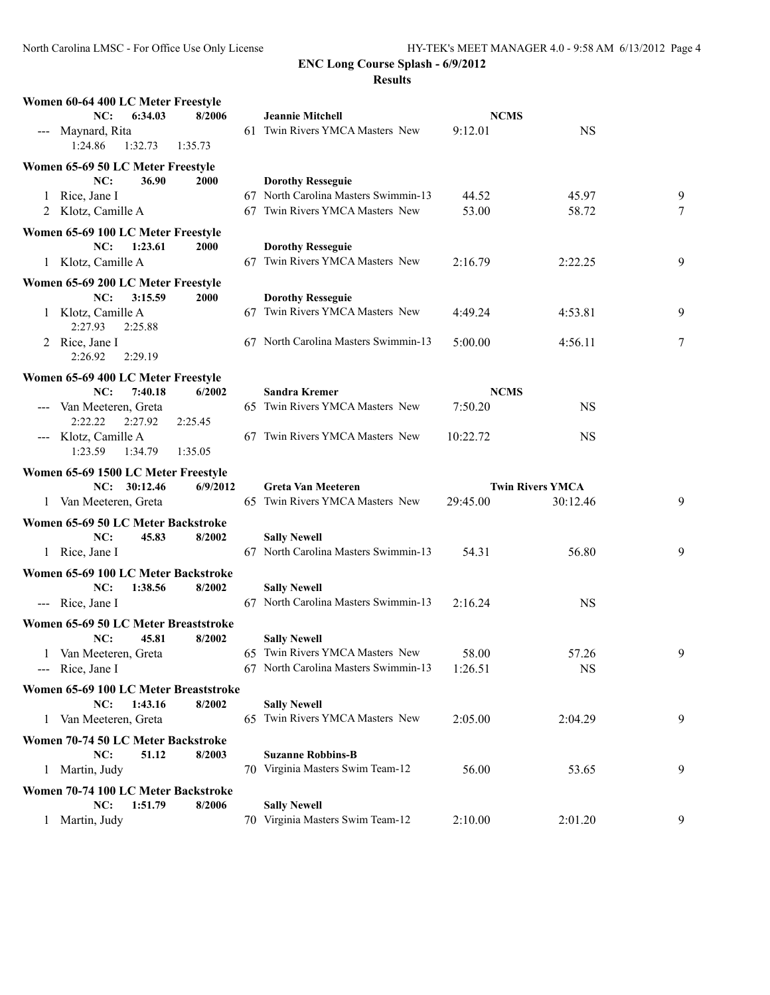| Women 60-64 400 LC Meter Freestyle                              |                                                         |             |                         |                |
|-----------------------------------------------------------------|---------------------------------------------------------|-------------|-------------------------|----------------|
| NC:<br>6:34.03<br>8/2006                                        | <b>Jeannie Mitchell</b>                                 | <b>NCMS</b> |                         |                |
| Maynard, Rita<br>$\qquad \qquad - -$                            | 61 Twin Rivers YMCA Masters New                         | 9:12.01     | <b>NS</b>               |                |
| 1:24.86<br>1:32.73<br>1:35.73                                   |                                                         |             |                         |                |
| Women 65-69 50 LC Meter Freestyle                               |                                                         |             |                         |                |
| NC:<br>36.90<br><b>2000</b>                                     | <b>Dorothy Resseguie</b>                                |             |                         |                |
| 1 Rice, Jane I                                                  | 67 North Carolina Masters Swimmin-13                    | 44.52       | 45.97                   | 9              |
| 2 Klotz, Camille A                                              | 67 Twin Rivers YMCA Masters New                         | 53.00       | 58.72                   | 7              |
|                                                                 |                                                         |             |                         |                |
| Women 65-69 100 LC Meter Freestyle                              |                                                         |             |                         |                |
| NC:<br>1:23.61<br><b>2000</b>                                   | <b>Dorothy Resseguie</b>                                |             |                         |                |
| 1 Klotz, Camille A                                              | 67 Twin Rivers YMCA Masters New                         | 2:16.79     | 2:22.25                 | 9              |
| Women 65-69 200 LC Meter Freestyle                              |                                                         |             |                         |                |
| NC:<br>3:15.59<br>2000                                          | <b>Dorothy Resseguie</b>                                |             |                         |                |
| Klotz, Camille A<br>1                                           | 67 Twin Rivers YMCA Masters New                         | 4:49.24     | 4:53.81                 | 9              |
| 2:27.93<br>2:25.88                                              |                                                         |             |                         |                |
| 2 Rice, Jane I                                                  | 67 North Carolina Masters Swimmin-13                    | 5:00.00     | 4:56.11                 | $\overline{7}$ |
| 2:26.92<br>2:29.19                                              |                                                         |             |                         |                |
| Women 65-69 400 LC Meter Freestyle                              |                                                         |             |                         |                |
| 7:40.18<br>NC:<br>6/2002                                        | <b>Sandra Kremer</b>                                    | <b>NCMS</b> |                         |                |
| Van Meeteren, Greta                                             | 65 Twin Rivers YMCA Masters New                         | 7:50.20     | <b>NS</b>               |                |
| 2:22.22<br>2:27.92<br>2:25.45                                   |                                                         |             |                         |                |
| Klotz, Camille A                                                | 67 Twin Rivers YMCA Masters New                         | 10:22.72    | <b>NS</b>               |                |
| 1:23.59<br>1:35.05<br>1:34.79                                   |                                                         |             |                         |                |
|                                                                 |                                                         |             |                         |                |
| Women 65-69 1500 LC Meter Freestyle<br>NC: 30:12.46<br>6/9/2012 | Greta Van Meeteren                                      |             | <b>Twin Rivers YMCA</b> |                |
| 1 Van Meeteren, Greta                                           | 65 Twin Rivers YMCA Masters New                         | 29:45.00    | 30:12.46                | 9              |
|                                                                 |                                                         |             |                         |                |
| Women 65-69 50 LC Meter Backstroke                              |                                                         |             |                         |                |
| NC:<br>45.83<br>8/2002                                          | <b>Sally Newell</b>                                     |             |                         |                |
| 1 Rice, Jane I                                                  | 67 North Carolina Masters Swimmin-13                    | 54.31       | 56.80                   | 9              |
| Women 65-69 100 LC Meter Backstroke                             |                                                         |             |                         |                |
| NC:<br>1:38.56<br>8/2002                                        | <b>Sally Newell</b>                                     |             |                         |                |
| --- Rice, Jane I                                                | 67 North Carolina Masters Swimmin-13                    | 2:16.24     | <b>NS</b>               |                |
| Women 65-69 50 LC Meter Breaststroke                            |                                                         |             |                         |                |
| NC:<br>45.81<br>8/2002                                          | <b>Sally Newell</b>                                     |             |                         |                |
| 1 Van Meeteren, Greta                                           | 65 Twin Rivers YMCA Masters New                         | 58.00       | 57.26                   | 9              |
| --- Rice, Jane I                                                | 67 North Carolina Masters Swimmin-13                    | 1:26.51     | <b>NS</b>               |                |
|                                                                 |                                                         |             |                         |                |
| Women 65-69 100 LC Meter Breaststroke                           |                                                         |             |                         |                |
| 1:43.16<br>8/2002<br>NC:                                        | <b>Sally Newell</b>                                     |             |                         |                |
| Van Meeteren, Greta<br>$\perp$                                  | 65 Twin Rivers YMCA Masters New                         | 2:05.00     | 2:04.29                 | 9              |
| Women 70-74 50 LC Meter Backstroke                              |                                                         |             |                         |                |
| NC:<br>51.12<br>8/2003                                          | <b>Suzanne Robbins-B</b>                                |             |                         |                |
| 1 Martin, Judy                                                  | 70 Virginia Masters Swim Team-12                        | 56.00       | 53.65                   | 9              |
| Women 70-74 100 LC Meter Backstroke                             |                                                         |             |                         |                |
|                                                                 |                                                         |             |                         |                |
|                                                                 |                                                         |             |                         |                |
| 1:51.79<br>8/2006<br>NC:<br>Martin, Judy                        | <b>Sally Newell</b><br>70 Virginia Masters Swim Team-12 | 2:10.00     | 2:01.20                 | 9              |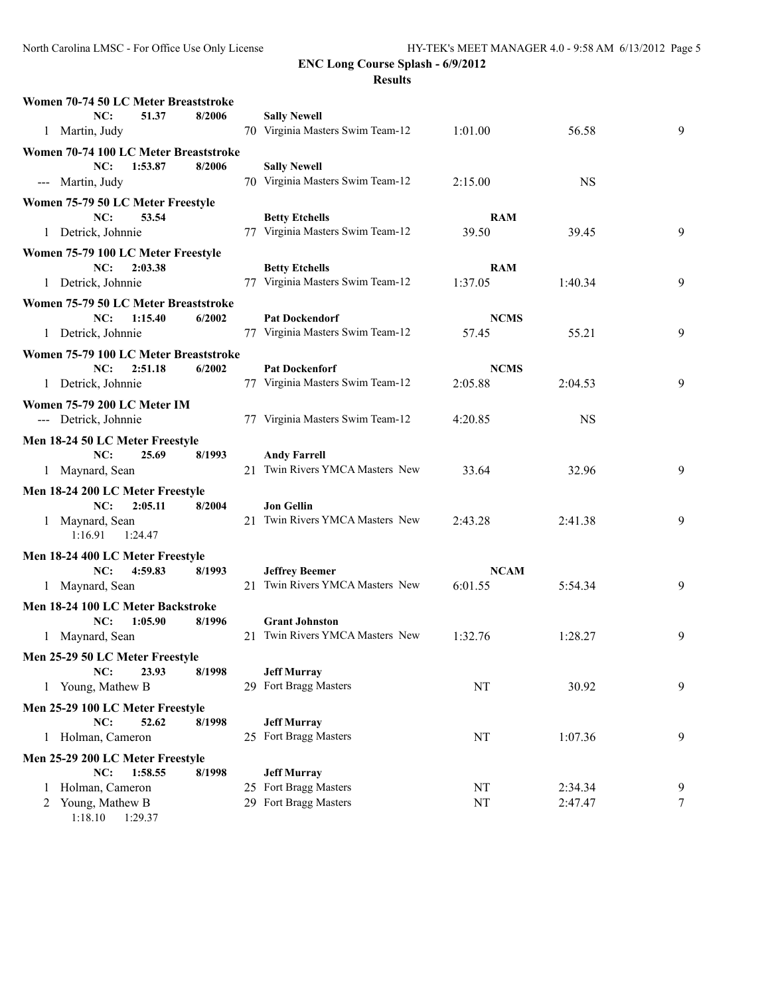| Women 70-74 50 LC Meter Breaststroke  |        |                                                          |                        |                    |        |
|---------------------------------------|--------|----------------------------------------------------------|------------------------|--------------------|--------|
| NC:<br>51.37                          | 8/2006 | <b>Sally Newell</b>                                      |                        |                    |        |
| 1 Martin, Judy                        |        | 70 Virginia Masters Swim Team-12                         | 1:01.00                | 56.58              | 9      |
| Women 70-74 100 LC Meter Breaststroke |        |                                                          |                        |                    |        |
| 1:53.87<br>NC:                        | 8/2006 | <b>Sally Newell</b>                                      |                        |                    |        |
| --- Martin, Judy                      |        | 70 Virginia Masters Swim Team-12                         | 2:15.00                | <b>NS</b>          |        |
| Women 75-79 50 LC Meter Freestyle     |        |                                                          |                        |                    |        |
| NC:<br>53.54                          |        | <b>Betty Etchells</b>                                    | <b>RAM</b>             |                    |        |
| 1 Detrick, Johnnie                    |        | 77 Virginia Masters Swim Team-12                         | 39.50                  | 39.45              | 9      |
| Women 75-79 100 LC Meter Freestyle    |        |                                                          |                        |                    |        |
| NC:<br>2:03.38                        |        | <b>Betty Etchells</b>                                    | <b>RAM</b>             |                    |        |
| 1 Detrick, Johnnie                    |        | 77 Virginia Masters Swim Team-12                         | 1:37.05                | 1:40.34            | 9      |
| Women 75-79 50 LC Meter Breaststroke  |        |                                                          |                        |                    |        |
| NC:<br>1:15.40                        | 6/2002 | <b>Pat Dockendorf</b>                                    | <b>NCMS</b>            |                    |        |
| 1 Detrick, Johnnie                    |        | 77 Virginia Masters Swim Team-12                         | 57.45                  | 55.21              | 9      |
| Women 75-79 100 LC Meter Breaststroke |        |                                                          |                        |                    |        |
| NC:<br>2:51.18                        | 6/2002 | <b>Pat Dockenforf</b>                                    | <b>NCMS</b>            |                    |        |
| 1 Detrick, Johnnie                    |        | 77 Virginia Masters Swim Team-12                         | 2:05.88                | 2:04.53            | 9      |
| Women 75-79 200 LC Meter IM           |        |                                                          |                        |                    |        |
| --- Detrick, Johnnie                  |        | 77 Virginia Masters Swim Team-12                         | 4:20.85                | <b>NS</b>          |        |
| Men 18-24 50 LC Meter Freestyle       |        |                                                          |                        |                    |        |
| NC:<br>25.69                          | 8/1993 | <b>Andy Farrell</b>                                      |                        |                    |        |
| 1 Maynard, Sean                       |        | 21 Twin Rivers YMCA Masters New                          | 33.64                  | 32.96              | 9      |
| Men 18-24 200 LC Meter Freestyle      |        |                                                          |                        |                    |        |
| NC:<br>2:05.11                        | 8/2004 | <b>Jon Gellin</b>                                        |                        |                    |        |
| 1 Maynard, Sean                       |        | 21 Twin Rivers YMCA Masters New                          | 2:43.28                | 2:41.38            | 9      |
| 1:16.91<br>1:24.47                    |        |                                                          |                        |                    |        |
| Men 18-24 400 LC Meter Freestyle      |        |                                                          |                        |                    |        |
| NC:<br>4:59.83<br>1 Maynard, Sean     | 8/1993 | <b>Jeffrey Beemer</b><br>21 Twin Rivers YMCA Masters New | <b>NCAM</b><br>6:01.55 |                    | 9      |
|                                       |        |                                                          |                        | 5:54.34            |        |
| Men 18-24 100 LC Meter Backstroke     |        |                                                          |                        |                    |        |
| NC:<br>1:05.90                        | 8/1996 | <b>Grant Johnston</b><br>21 Twin Rivers YMCA Masters New | 1:32.76                | 1:28.27            | 9      |
| 1 Maynard, Sean                       |        |                                                          |                        |                    |        |
| Men 25-29 50 LC Meter Freestyle       |        |                                                          |                        |                    |        |
| NC:<br>23.93<br>1 Young, Mathew B     | 8/1998 | <b>Jeff Murray</b><br>29 Fort Bragg Masters              | NT                     | 30.92              | 9      |
|                                       |        |                                                          |                        |                    |        |
| Men 25-29 100 LC Meter Freestyle      |        |                                                          |                        |                    |        |
| NC:<br>52.62<br>1 Holman, Cameron     | 8/1998 | <b>Jeff Murray</b><br>25 Fort Bragg Masters              | NT                     | 1:07.36            | 9      |
|                                       |        |                                                          |                        |                    |        |
| Men 25-29 200 LC Meter Freestyle      |        |                                                          |                        |                    |        |
| NC:<br>1:58.55<br>Holman, Cameron     | 8/1998 | <b>Jeff Murray</b><br>25 Fort Bragg Masters              |                        |                    |        |
| Young, Mathew B                       |        | 29 Fort Bragg Masters                                    | NT<br>NT               | 2:34.34<br>2:47.47 | 9<br>7 |
|                                       |        |                                                          |                        |                    |        |

1:18.10 1:29.37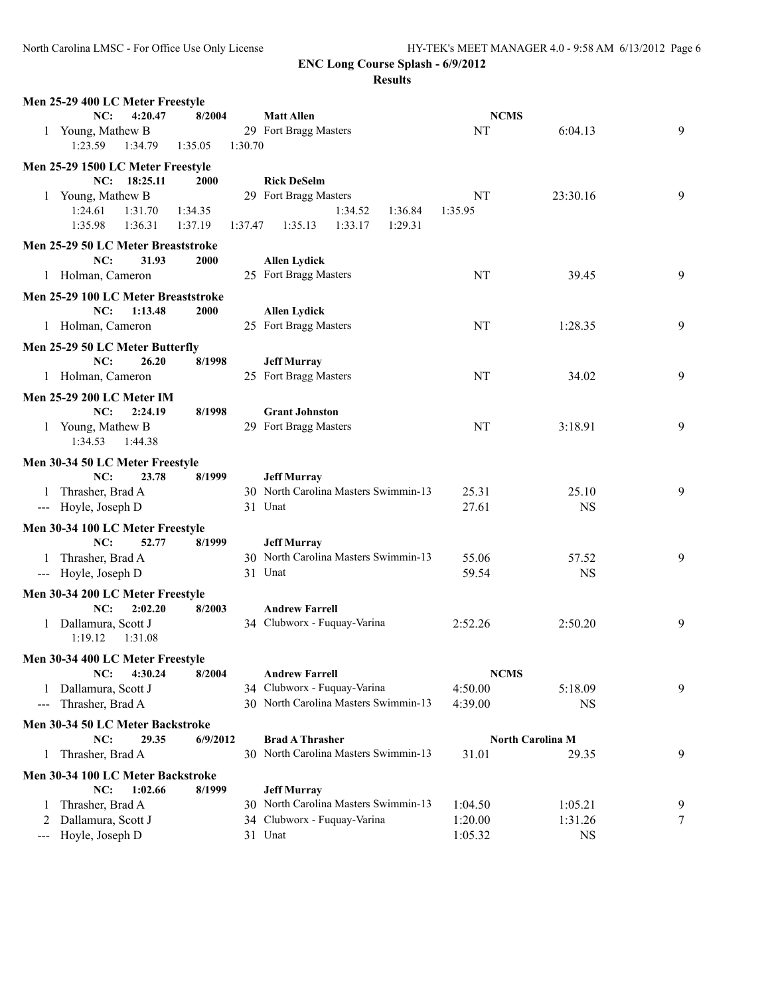| Men 25-29 400 LC Meter Freestyle                      |                    |                                                            |             |                         |   |
|-------------------------------------------------------|--------------------|------------------------------------------------------------|-------------|-------------------------|---|
| NC:<br>4:20.47                                        | 8/2004             | <b>Matt Allen</b>                                          | <b>NCMS</b> |                         |   |
| 1 Young, Mathew B                                     |                    | 29 Fort Bragg Masters                                      | NT          | 6:04.13                 | 9 |
| 1:23.59<br>1:34.79                                    | 1:35.05<br>1:30.70 |                                                            |             |                         |   |
| Men 25-29 1500 LC Meter Freestyle                     |                    |                                                            |             |                         |   |
| NC: 18:25.11                                          | <b>2000</b>        | <b>Rick DeSelm</b>                                         |             |                         |   |
| 1 Young, Mathew B                                     |                    | 29 Fort Bragg Masters                                      | <b>NT</b>   | 23:30.16                | 9 |
| 1:24.61<br>1:31.70                                    | 1:34.35            | 1:34.52<br>1:36.84                                         | 1:35.95     |                         |   |
| 1:35.98<br>1:36.31                                    | 1:37.19<br>1:37.47 | 1:33.17<br>1:29.31<br>1:35.13                              |             |                         |   |
| Men 25-29 50 LC Meter Breaststroke                    |                    |                                                            |             |                         |   |
| NC:<br>31.93                                          | 2000               | <b>Allen Lydick</b>                                        |             |                         |   |
| 1 Holman, Cameron                                     |                    | 25 Fort Bragg Masters                                      | NT          | 39.45                   | 9 |
|                                                       |                    |                                                            |             |                         |   |
| Men 25-29 100 LC Meter Breaststroke<br>NC:<br>1:13.48 | 2000               |                                                            |             |                         |   |
| 1 Holman, Cameron                                     |                    | <b>Allen Lydick</b><br>25 Fort Bragg Masters               | NT          | 1:28.35                 | 9 |
|                                                       |                    |                                                            |             |                         |   |
| Men 25-29 50 LC Meter Butterfly                       |                    |                                                            |             |                         |   |
| NC:<br>26.20                                          | 8/1998             | <b>Jeff Murray</b>                                         |             |                         |   |
| 1 Holman, Cameron                                     |                    | 25 Fort Bragg Masters                                      | NT          | 34.02                   | 9 |
| <b>Men 25-29 200 LC Meter IM</b>                      |                    |                                                            |             |                         |   |
| NC:<br>2:24.19                                        | 8/1998             | <b>Grant Johnston</b>                                      |             |                         |   |
| 1 Young, Mathew B                                     |                    | 29 Fort Bragg Masters                                      | <b>NT</b>   | 3:18.91                 | 9 |
| 1:34.53<br>1:44.38                                    |                    |                                                            |             |                         |   |
| Men 30-34 50 LC Meter Freestyle                       |                    |                                                            |             |                         |   |
| NC:<br>23.78                                          | 8/1999             | <b>Jeff Murray</b>                                         |             |                         |   |
| Thrasher, Brad A<br>1                                 |                    | 30 North Carolina Masters Swimmin-13                       | 25.31       | 25.10                   | 9 |
| --- Hoyle, Joseph D                                   |                    | 31 Unat                                                    | 27.61       | <b>NS</b>               |   |
|                                                       |                    |                                                            |             |                         |   |
| Men 30-34 100 LC Meter Freestyle<br>NC:<br>52.77      | 8/1999             |                                                            |             |                         |   |
| 1 Thrasher, Brad A                                    |                    | <b>Jeff Murray</b><br>30 North Carolina Masters Swimmin-13 | 55.06       | 57.52                   | 9 |
| --- Hoyle, Joseph D                                   |                    | 31 Unat                                                    | 59.54       | <b>NS</b>               |   |
|                                                       |                    |                                                            |             |                         |   |
| Men 30-34 200 LC Meter Freestyle                      |                    |                                                            |             |                         |   |
| NC:<br>2:02.20                                        | 8/2003             | <b>Andrew Farrell</b>                                      |             |                         |   |
| 1 Dallamura, Scott J                                  |                    | 34 Clubworx - Fuquay-Varina                                | 2:52.26     | 2:50.20                 | 9 |
| 1:19.12<br>1:31.08                                    |                    |                                                            |             |                         |   |
| Men 30-34 400 LC Meter Freestyle                      |                    |                                                            |             |                         |   |
| NC:<br>4:30.24                                        | 8/2004             | <b>Andrew Farrell</b>                                      | <b>NCMS</b> |                         |   |
| Dallamura, Scott J<br>1                               |                    | 34 Clubworx - Fuquay-Varina                                | 4:50.00     | 5:18.09                 | 9 |
| Thrasher, Brad A<br>$---$                             |                    | 30 North Carolina Masters Swimmin-13                       | 4:39.00     | NS                      |   |
| Men 30-34 50 LC Meter Backstroke                      |                    |                                                            |             |                         |   |
| NC:<br>29.35                                          | 6/9/2012           | <b>Brad A Thrasher</b>                                     |             | <b>North Carolina M</b> |   |
| Thrasher, Brad A<br>1                                 |                    | 30 North Carolina Masters Swimmin-13                       | 31.01       | 29.35                   | 9 |
| Men 30-34 100 LC Meter Backstroke                     |                    |                                                            |             |                         |   |
| 1:02.66<br>NC:                                        | 8/1999             | <b>Jeff Murray</b>                                         |             |                         |   |
| Thrasher, Brad A                                      |                    | 30 North Carolina Masters Swimmin-13                       | 1:04.50     | 1:05.21                 | 9 |
| Dallamura, Scott J<br>2                               |                    | 34 Clubworx - Fuquay-Varina                                | 1:20.00     | 1:31.26                 | 7 |
| Hoyle, Joseph D<br>---                                |                    | 31 Unat                                                    | 1:05.32     | <b>NS</b>               |   |
|                                                       |                    |                                                            |             |                         |   |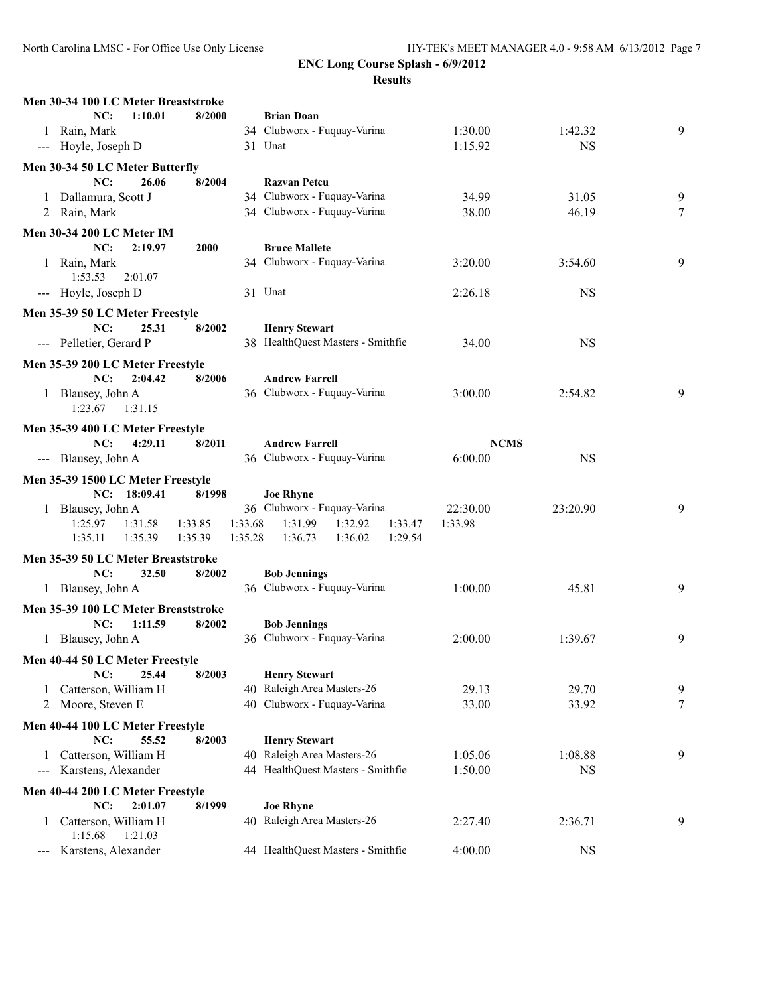| Men 30-34 100 LC Meter Breaststroke                                                                                                                                                      |                    |                                                                           |                     |           |   |
|------------------------------------------------------------------------------------------------------------------------------------------------------------------------------------------|--------------------|---------------------------------------------------------------------------|---------------------|-----------|---|
| NC:<br>1:10.01                                                                                                                                                                           | 8/2000             | <b>Brian Doan</b>                                                         |                     |           |   |
| 1 Rain, Mark                                                                                                                                                                             |                    | 34 Clubworx - Fuquay-Varina                                               | 1:30.00             | 1:42.32   | 9 |
| --- Hoyle, Joseph D                                                                                                                                                                      |                    | 31 Unat                                                                   | 1:15.92             | <b>NS</b> |   |
| Men 30-34 50 LC Meter Butterfly                                                                                                                                                          |                    |                                                                           |                     |           |   |
| NC:<br>26.06                                                                                                                                                                             | 8/2004             | <b>Razvan Petcu</b>                                                       |                     |           |   |
| 1 Dallamura, Scott J                                                                                                                                                                     |                    | 34 Clubworx - Fuquay-Varina                                               | 34.99               | 31.05     | 9 |
| 2 Rain, Mark                                                                                                                                                                             |                    | 34 Clubworx - Fuquay-Varina                                               | 38.00               | 46.19     | 7 |
|                                                                                                                                                                                          |                    |                                                                           |                     |           |   |
| Men 30-34 200 LC Meter IM                                                                                                                                                                |                    |                                                                           |                     |           |   |
| NC:<br>2:19.97                                                                                                                                                                           | <b>2000</b>        | <b>Bruce Mallete</b>                                                      |                     |           |   |
| 1 Rain, Mark<br>1:53.53                                                                                                                                                                  |                    | 34 Clubworx - Fuquay-Varina                                               | 3:20.00             | 3:54.60   | 9 |
| 2:01.07                                                                                                                                                                                  |                    | 31 Unat                                                                   |                     | <b>NS</b> |   |
| --- Hoyle, Joseph D                                                                                                                                                                      |                    |                                                                           | 2:26.18             |           |   |
| Men 35-39 50 LC Meter Freestyle                                                                                                                                                          |                    |                                                                           |                     |           |   |
| NC:<br>25.31                                                                                                                                                                             | 8/2002             | <b>Henry Stewart</b>                                                      |                     |           |   |
| --- Pelletier, Gerard P                                                                                                                                                                  |                    | 38 HealthQuest Masters - Smithfie                                         | 34.00               | <b>NS</b> |   |
| Men 35-39 200 LC Meter Freestyle                                                                                                                                                         |                    |                                                                           |                     |           |   |
| NC:<br>2:04.42                                                                                                                                                                           | 8/2006             | <b>Andrew Farrell</b>                                                     |                     |           |   |
| 1 Blausey, John A                                                                                                                                                                        |                    | 36 Clubworx - Fuquay-Varina                                               | 3:00.00             | 2:54.82   | 9 |
| 1:23.67<br>1:31.15                                                                                                                                                                       |                    |                                                                           |                     |           |   |
| Men 35-39 400 LC Meter Freestyle                                                                                                                                                         |                    |                                                                           |                     |           |   |
| NC:<br>4:29.11                                                                                                                                                                           | 8/2011             | <b>Andrew Farrell</b>                                                     | <b>NCMS</b>         |           |   |
| --- Blausey, John A                                                                                                                                                                      |                    | 36 Clubworx - Fuquay-Varina                                               | 6:00.00             | <b>NS</b> |   |
|                                                                                                                                                                                          |                    |                                                                           |                     |           |   |
| Men 35-39 1500 LC Meter Freestyle                                                                                                                                                        |                    |                                                                           |                     |           |   |
| NC: 18:09.41                                                                                                                                                                             | 8/1998             | <b>Joe Rhyne</b>                                                          |                     |           |   |
| 1 Blausey, John A                                                                                                                                                                        |                    | 36 Clubworx - Fuquay-Varina<br>1:33.47                                    | 22:30.00<br>1:33.98 | 23:20.90  | 9 |
| 1:25.97<br>1:31.58<br>1:35.11<br>1:35.39                                                                                                                                                 | 1:33.85<br>1:35.39 | 1:33.68<br>1:31.99<br>1:32.92<br>1:35.28<br>1:36.73<br>1:36.02<br>1:29.54 |                     |           |   |
|                                                                                                                                                                                          |                    |                                                                           |                     |           |   |
| Men 35-39 50 LC Meter Breaststroke                                                                                                                                                       |                    |                                                                           |                     |           |   |
| NC:<br>32.50                                                                                                                                                                             | 8/2002             | <b>Bob Jennings</b>                                                       |                     |           |   |
| 1 Blausey, John A                                                                                                                                                                        |                    | 36 Clubworx - Fuquay-Varina                                               | 1:00.00             | 45.81     | 9 |
| Men 35-39 100 LC Meter Breaststroke                                                                                                                                                      |                    |                                                                           |                     |           |   |
| NC:<br>1:11.59                                                                                                                                                                           | 8/2002             | <b>Bob Jennings</b>                                                       |                     |           |   |
| 1 Blausey, John A                                                                                                                                                                        |                    | 36 Clubworx - Fuquay-Varina                                               | 2:00.00             | 1:39.67   | 9 |
| Men 40-44 50 LC Meter Freestyle                                                                                                                                                          |                    |                                                                           |                     |           |   |
| 25.44<br>NC:                                                                                                                                                                             | 8/2003             | <b>Henry Stewart</b>                                                      |                     |           |   |
| Catterson, William H<br>$\mathbf{1}$                                                                                                                                                     |                    | 40 Raleigh Area Masters-26                                                | 29.13               | 29.70     | 9 |
| 2 Moore, Steven E                                                                                                                                                                        |                    | 40 Clubworx - Fuquay-Varina                                               | 33.00               | 33.92     | 7 |
|                                                                                                                                                                                          |                    |                                                                           |                     |           |   |
| Men 40-44 100 LC Meter Freestyle                                                                                                                                                         |                    |                                                                           |                     |           |   |
| NC:<br>55.52                                                                                                                                                                             | 8/2003             | <b>Henry Stewart</b>                                                      |                     |           |   |
| Catterson, William H                                                                                                                                                                     |                    | 40 Raleigh Area Masters-26                                                | 1:05.06             | 1:08.88   | 9 |
| Karstens, Alexander<br>$\hspace{0.05cm} \hspace{0.02cm} \hspace{0.02cm} \hspace{0.02cm} \hspace{0.02cm} \hspace{0.02cm} \hspace{0.02cm} \hspace{0.02cm} \hspace{0.02cm} \hspace{0.02cm}$ |                    | 44 HealthQuest Masters - Smithfie                                         | 1:50.00             | <b>NS</b> |   |
| Men 40-44 200 LC Meter Freestyle                                                                                                                                                         |                    |                                                                           |                     |           |   |
| 2:01.07<br>NC:                                                                                                                                                                           | 8/1999             | <b>Joe Rhyne</b>                                                          |                     |           |   |
| Catterson, William H<br>1                                                                                                                                                                |                    | 40 Raleigh Area Masters-26                                                | 2:27.40             | 2:36.71   | 9 |
| 1:15.68<br>1:21.03                                                                                                                                                                       |                    |                                                                           |                     |           |   |
| Karstens, Alexander<br>$---$                                                                                                                                                             |                    | 44 HealthQuest Masters - Smithfie                                         | 4:00.00             | <b>NS</b> |   |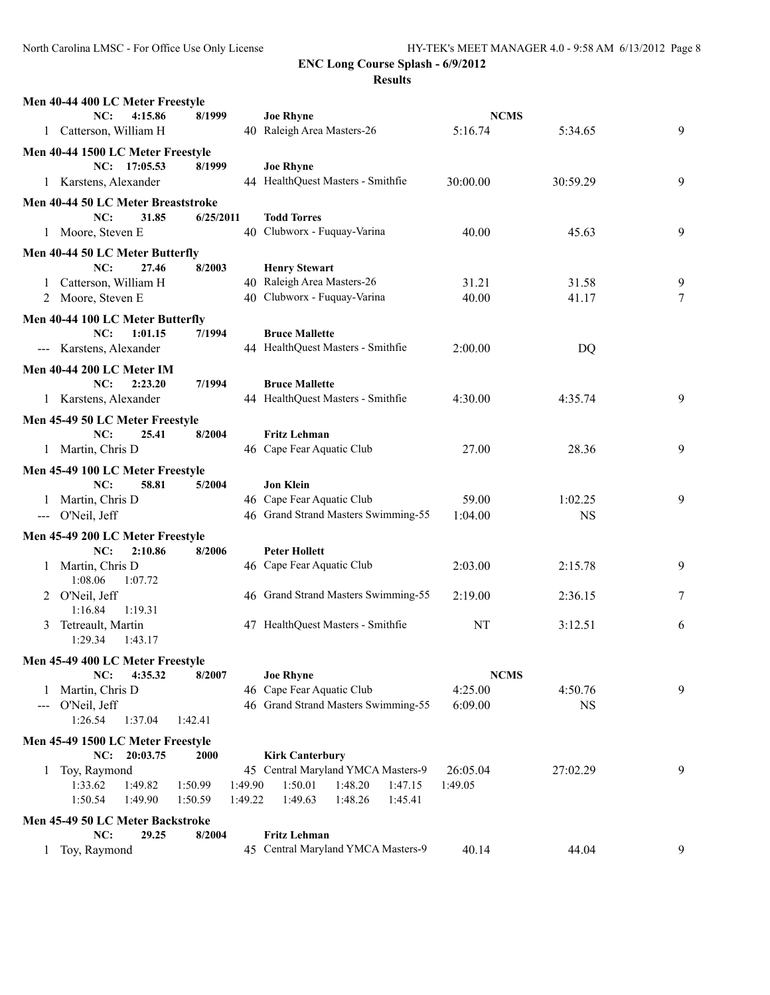| Men 40-44 400 LC Meter Freestyle                      |           |                                                                  |             |           |   |
|-------------------------------------------------------|-----------|------------------------------------------------------------------|-------------|-----------|---|
| NC:<br>4:15.86                                        | 8/1999    | <b>Joe Rhyne</b>                                                 | <b>NCMS</b> |           |   |
| Catterson, William H<br>1                             |           | 40 Raleigh Area Masters-26                                       | 5:16.74     | 5:34.65   | 9 |
| Men 40-44 1500 LC Meter Freestyle                     |           |                                                                  |             |           |   |
| NC: 17:05.53                                          | 8/1999    | <b>Joe Rhyne</b>                                                 |             |           |   |
| 1 Karstens, Alexander                                 |           | 44 HealthQuest Masters - Smithfie                                | 30:00.00    | 30:59.29  | 9 |
| Men 40-44 50 LC Meter Breaststroke                    |           |                                                                  |             |           |   |
| NC:<br>31.85                                          | 6/25/2011 | <b>Todd Torres</b>                                               |             |           |   |
| 1 Moore, Steven E                                     |           | 40 Clubworx - Fuquay-Varina                                      | 40.00       | 45.63     | 9 |
| Men 40-44 50 LC Meter Butterfly                       |           |                                                                  |             |           |   |
| NC:<br>27.46                                          | 8/2003    | <b>Henry Stewart</b>                                             |             |           |   |
| Catterson, William H<br>$\mathbf{1}$                  |           | 40 Raleigh Area Masters-26                                       | 31.21       | 31.58     | 9 |
| 2 Moore, Steven E                                     |           | 40 Clubworx - Fuquay-Varina                                      | 40.00       | 41.17     | 7 |
| Men 40-44 100 LC Meter Butterfly                      |           |                                                                  |             |           |   |
| NC:<br>1:01.15                                        | 7/1994    | <b>Bruce Mallette</b>                                            |             |           |   |
| --- Karstens, Alexander                               |           | 44 HealthQuest Masters - Smithfie                                | 2:00.00     | DQ        |   |
| <b>Men 40-44 200 LC Meter IM</b>                      |           |                                                                  |             |           |   |
| NC:<br>2:23.20                                        | 7/1994    | <b>Bruce Mallette</b>                                            |             |           |   |
| 1 Karstens, Alexander                                 |           | 44 HealthQuest Masters - Smithfie                                | 4:30.00     | 4:35.74   | 9 |
| Men 45-49 50 LC Meter Freestyle                       |           |                                                                  |             |           |   |
| NC:<br>25.41                                          | 8/2004    | <b>Fritz Lehman</b>                                              |             |           |   |
| 1 Martin, Chris D                                     |           | 46 Cape Fear Aquatic Club                                        | 27.00       | 28.36     | 9 |
| Men 45-49 100 LC Meter Freestyle                      |           |                                                                  |             |           |   |
| NC:<br>58.81                                          | 5/2004    | <b>Jon Klein</b>                                                 |             |           |   |
| 1 Martin, Chris D                                     |           | 46 Cape Fear Aquatic Club                                        | 59.00       | 1:02.25   | 9 |
| --- O'Neil, Jeff                                      |           | 46 Grand Strand Masters Swimming-55                              | 1:04.00     | <b>NS</b> |   |
| Men 45-49 200 LC Meter Freestyle                      |           |                                                                  |             |           |   |
| NC:<br>2:10.86                                        | 8/2006    | <b>Peter Hollett</b>                                             |             |           |   |
| 1 Martin, Chris D                                     |           | 46 Cape Fear Aquatic Club                                        | 2:03.00     | 2:15.78   | 9 |
| 1:08.06<br>1:07.72                                    |           |                                                                  |             |           |   |
| 2 O'Neil, Jeff                                        |           | 46 Grand Strand Masters Swimming-55                              | 2:19.00     | 2:36.15   | 7 |
| 1:16.84<br>1:19.31                                    |           |                                                                  |             |           |   |
| 3 Tetreault, Martin                                   |           | 47 HealthQuest Masters - Smithfie                                | NT          | 3:12.51   | 6 |
| 1:29.34<br>1:43.17                                    |           |                                                                  |             |           |   |
| Men 45-49 400 LC Meter Freestyle                      |           |                                                                  |             |           |   |
| 4:35.32<br>NC:                                        | 8/2007    | <b>Joe Rhyne</b>                                                 | <b>NCMS</b> |           |   |
| Martin, Chris D<br>1                                  |           | 46 Cape Fear Aquatic Club<br>46 Grand Strand Masters Swimming-55 | 4:25.00     | 4:50.76   | 9 |
| O'Neil, Jeff<br>$--$<br>1:26.54<br>1:37.04<br>1:42.41 |           |                                                                  | 6:09.00     | <b>NS</b> |   |
|                                                       |           |                                                                  |             |           |   |
| Men 45-49 1500 LC Meter Freestyle<br>NC: 20:03.75     | 2000      | <b>Kirk Canterbury</b>                                           |             |           |   |
| Toy, Raymond<br>1                                     |           | 45 Central Maryland YMCA Masters-9                               | 26:05.04    | 27:02.29  | 9 |
| 1:33.62<br>1:49.82<br>1:50.99                         | 1:49.90   | 1:50.01<br>1:48.20<br>1:47.15                                    | 1:49.05     |           |   |
| 1:50.54<br>1:49.90<br>1:50.59                         | 1:49.22   | 1:49.63<br>1:48.26<br>1:45.41                                    |             |           |   |
| Men 45-49 50 LC Meter Backstroke                      |           |                                                                  |             |           |   |
| NC:<br>29.25                                          | 8/2004    | <b>Fritz Lehman</b>                                              |             |           |   |
| Toy, Raymond<br>1                                     |           | 45 Central Maryland YMCA Masters-9                               | 40.14       | 44.04     | 9 |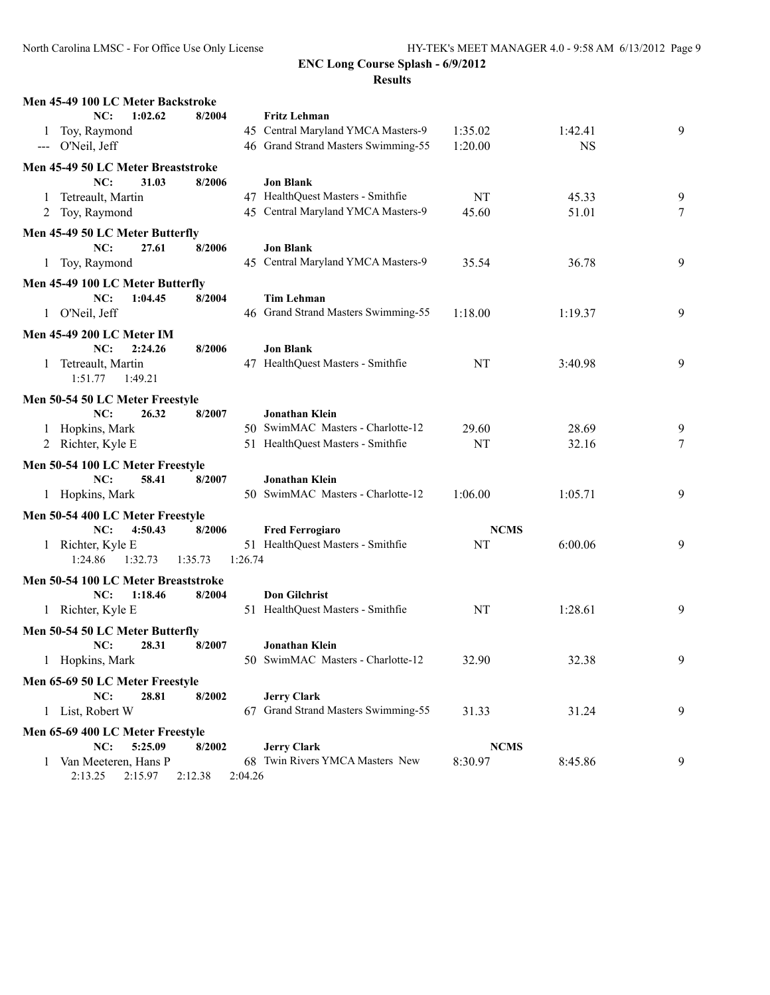| Men 45-49 100 LC Meter Backstroke                               |         |                                                     |             |           |   |
|-----------------------------------------------------------------|---------|-----------------------------------------------------|-------------|-----------|---|
| 1:02.62<br>8/2004<br>NC:                                        |         | <b>Fritz Lehman</b>                                 |             |           |   |
| Toy, Raymond<br>1                                               |         | 45 Central Maryland YMCA Masters-9                  | 1:35.02     | 1:42.41   | 9 |
| O'Neil, Jeff<br>$\qquad \qquad - -$                             |         | 46 Grand Strand Masters Swimming-55                 | 1:20.00     | <b>NS</b> |   |
| Men 45-49 50 LC Meter Breaststroke                              |         |                                                     |             |           |   |
| NC:<br>31.03<br>8/2006                                          |         | <b>Jon Blank</b>                                    |             |           |   |
| Tetreault, Martin<br>1                                          |         | 47 HealthQuest Masters - Smithfie                   | NT          | 45.33     | 9 |
| Toy, Raymond<br>2                                               |         | 45 Central Maryland YMCA Masters-9                  | 45.60       | 51.01     | 7 |
| Men 45-49 50 LC Meter Butterfly                                 |         |                                                     |             |           |   |
| NC:<br>27.61<br>8/2006                                          |         | <b>Jon Blank</b>                                    |             |           |   |
| Toy, Raymond<br>1                                               |         | 45 Central Maryland YMCA Masters-9                  | 35.54       | 36.78     | 9 |
| Men 45-49 100 LC Meter Butterfly                                |         |                                                     |             |           |   |
| NC:<br>1:04.45<br>8/2004                                        |         | <b>Tim Lehman</b>                                   |             |           |   |
| 1 O'Neil, Jeff                                                  |         | 46 Grand Strand Masters Swimming-55                 | 1:18.00     | 1:19.37   | 9 |
| <b>Men 45-49 200 LC Meter IM</b>                                |         |                                                     |             |           |   |
| NC:<br>2:24.26<br>8/2006                                        |         | <b>Jon Blank</b>                                    |             |           |   |
| 1 Tetreault, Martin                                             |         | 47 HealthQuest Masters - Smithfie                   | NT          | 3:40.98   | 9 |
| 1:49.21<br>1:51.77                                              |         |                                                     |             |           |   |
| Men 50-54 50 LC Meter Freestyle                                 |         |                                                     |             |           |   |
| NC:<br>26.32<br>8/2007                                          |         | Jonathan Klein                                      |             |           |   |
| Hopkins, Mark<br>1                                              |         | 50 SwimMAC Masters - Charlotte-12                   | 29.60       | 28.69     | 9 |
| 2 Richter, Kyle E                                               |         | 51 HealthQuest Masters - Smithfie                   | NT          | 32.16     | 7 |
| Men 50-54 100 LC Meter Freestyle                                |         |                                                     |             |           |   |
| NC:<br>58.41<br>8/2007                                          |         | Jonathan Klein                                      |             |           |   |
| 1 Hopkins, Mark                                                 |         | 50 SwimMAC Masters - Charlotte-12                   | 1:06.00     | 1:05.71   | 9 |
|                                                                 |         |                                                     |             |           |   |
| Men 50-54 400 LC Meter Freestyle<br>NC:<br>4:50.43<br>8/2006    |         | <b>Fred Ferrogiaro</b>                              | <b>NCMS</b> |           |   |
| 1 Richter, Kyle E                                               |         | 51 HealthQuest Masters - Smithfie                   | NT          | 6:00.06   | 9 |
| 1:24.86<br>1:32.73<br>1:35.73                                   | 1:26.74 |                                                     |             |           |   |
|                                                                 |         |                                                     |             |           |   |
| Men 50-54 100 LC Meter Breaststroke<br>NC:<br>1:18.46<br>8/2004 |         | <b>Don Gilchrist</b>                                |             |           |   |
| 1 Richter, Kyle E                                               |         | 51 HealthQuest Masters - Smithfie                   | NT          | 1:28.61   | 9 |
|                                                                 |         |                                                     |             |           |   |
| Men 50-54 50 LC Meter Butterfly                                 |         |                                                     |             |           |   |
| NC:<br>28.31<br>8/2007<br>1 Hopkins, Mark                       |         | Jonathan Klein<br>50 SwimMAC Masters - Charlotte-12 |             |           | 9 |
|                                                                 |         |                                                     | 32.90       | 32.38     |   |
| Men 65-69 50 LC Meter Freestyle                                 |         |                                                     |             |           |   |
| NC:<br>28.81<br>8/2002                                          |         | <b>Jerry Clark</b>                                  |             |           |   |
| 1 List, Robert W                                                |         | 67 Grand Strand Masters Swimming-55                 | 31.33       | 31.24     | 9 |
| Men 65-69 400 LC Meter Freestyle                                |         |                                                     |             |           |   |
| NC:<br>5:25.09<br>8/2002                                        |         | <b>Jerry Clark</b>                                  | <b>NCMS</b> |           |   |
| 1 Van Meeteren, Hans P                                          |         | 68 Twin Rivers YMCA Masters New                     | 8:30.97     | 8:45.86   | 9 |
| 2:13.25<br>2:15.97<br>2:12.38                                   | 2:04.26 |                                                     |             |           |   |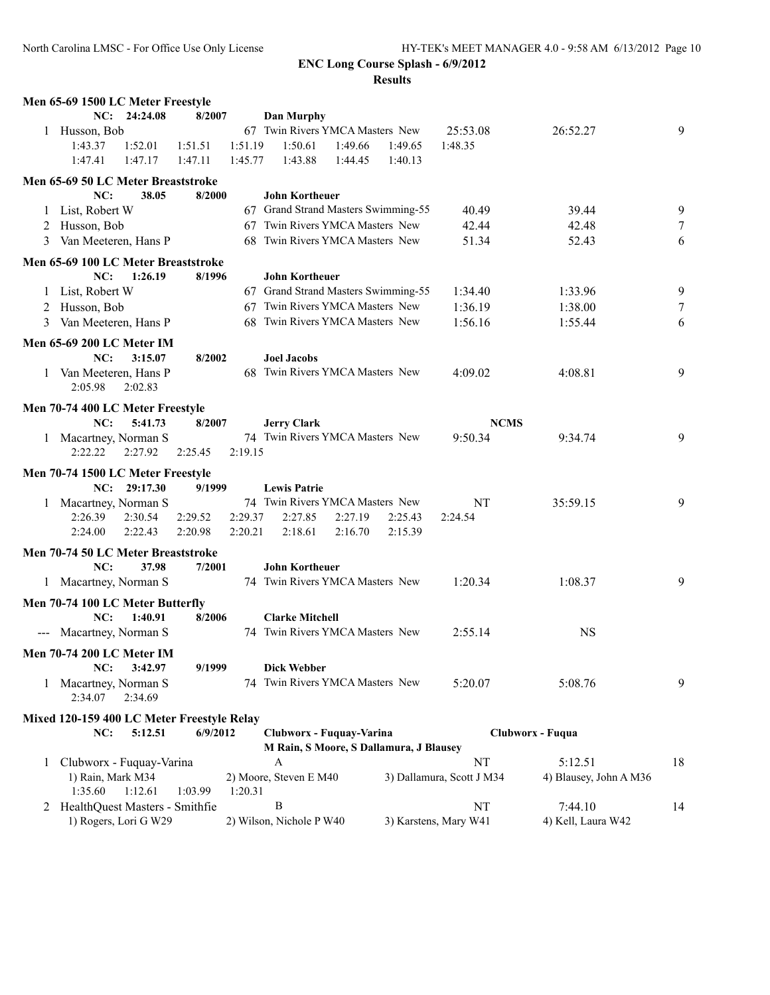|   | Men 65-69 1500 LC Meter Freestyle                 |              |          |         |                                         |         |         |                           |                        |    |
|---|---------------------------------------------------|--------------|----------|---------|-----------------------------------------|---------|---------|---------------------------|------------------------|----|
|   |                                                   | NC: 24:24.08 | 8/2007   |         | <b>Dan Murphy</b>                       |         |         |                           |                        |    |
| 1 | Husson, Bob                                       |              |          |         | 67 Twin Rivers YMCA Masters New         |         |         | 25:53.08                  | 26:52.27               | 9  |
|   | 1:43.37                                           | 1:52.01      | 1:51.51  | 1:51.19 | 1:50.61                                 | 1:49.66 | 1:49.65 | 1:48.35                   |                        |    |
|   | 1:47.41                                           | 1:47.17      | 1:47.11  | 1:45.77 | 1:43.88                                 | 1:44.45 | 1:40.13 |                           |                        |    |
|   | Men 65-69 50 LC Meter Breaststroke                |              |          |         |                                         |         |         |                           |                        |    |
|   | NC:                                               | 38.05        | 8/2000   |         | <b>John Kortheuer</b>                   |         |         |                           |                        |    |
|   | List, Robert W                                    |              |          |         | 67 Grand Strand Masters Swimming-55     |         |         | 40.49                     | 39.44                  | 9  |
| 2 | Husson, Bob                                       |              |          |         | 67 Twin Rivers YMCA Masters New         |         |         | 42.44                     | 42.48                  | 7  |
|   | 3 Van Meeteren, Hans P                            |              |          |         | 68 Twin Rivers YMCA Masters New         |         |         | 51.34                     | 52.43                  | 6  |
|   | Men 65-69 100 LC Meter Breaststroke               |              |          |         |                                         |         |         |                           |                        |    |
|   | NC:                                               | 1:26.19      | 8/1996   |         | <b>John Kortheuer</b>                   |         |         |                           |                        |    |
|   | 1 List, Robert W                                  |              |          |         | 67 Grand Strand Masters Swimming-55     |         |         | 1:34.40                   | 1:33.96                | 9  |
|   | 2 Husson, Bob                                     |              |          |         | 67 Twin Rivers YMCA Masters New         |         |         | 1:36.19                   | 1:38.00                | 7  |
| 3 | Van Meeteren, Hans P                              |              |          |         | 68 Twin Rivers YMCA Masters New         |         |         | 1:56.16                   | 1:55.44                | 6  |
|   | Men 65-69 200 LC Meter IM                         |              |          |         |                                         |         |         |                           |                        |    |
|   | NC:                                               | 3:15.07      | 8/2002   |         | <b>Joel Jacobs</b>                      |         |         |                           |                        |    |
| 1 | Van Meeteren, Hans P                              |              |          |         | 68 Twin Rivers YMCA Masters New         |         |         | 4:09.02                   | 4:08.81                | 9  |
|   | 2:05.98                                           | 2:02.83      |          |         |                                         |         |         |                           |                        |    |
|   | Men 70-74 400 LC Meter Freestyle                  |              |          |         |                                         |         |         |                           |                        |    |
|   | NC:                                               | 5:41.73      | 8/2007   |         | <b>Jerry Clark</b>                      |         |         | <b>NCMS</b>               |                        |    |
|   | 1 Macartney, Norman S                             |              |          |         | 74 Twin Rivers YMCA Masters New         |         |         | 9:50.34                   | 9:34.74                | 9  |
|   | 2:22.22                                           | 2:27.92      | 2:25.45  | 2:19.15 |                                         |         |         |                           |                        |    |
|   | Men 70-74 1500 LC Meter Freestyle                 |              |          |         |                                         |         |         |                           |                        |    |
|   |                                                   | NC: 29:17.30 | 9/1999   |         | <b>Lewis Patrie</b>                     |         |         |                           |                        |    |
|   | 1 Macartney, Norman S                             |              |          |         | 74 Twin Rivers YMCA Masters New         |         |         | NT                        | 35:59.15               | 9  |
|   | 2:26.39                                           | 2:30.54      | 2:29.52  | 2:29.37 | 2:27.85                                 | 2:27.19 | 2:25.43 | 2:24.54                   |                        |    |
|   | 2:24.00                                           | 2:22.43      | 2:20.98  | 2:20.21 | 2:18.61                                 | 2:16.70 | 2:15.39 |                           |                        |    |
|   | Men 70-74 50 LC Meter Breaststroke                |              |          |         |                                         |         |         |                           |                        |    |
|   | NC:                                               | 37.98        | 7/2001   |         | <b>John Kortheuer</b>                   |         |         |                           |                        |    |
|   | 1 Macartney, Norman S                             |              |          |         | 74 Twin Rivers YMCA Masters New         |         |         | 1:20.34                   | 1:08.37                | 9  |
|   | Men 70-74 100 LC Meter Butterfly                  |              |          |         |                                         |         |         |                           |                        |    |
|   | NC:                                               | 1:40.91      | 8/2006   |         | <b>Clarke Mitchell</b>                  |         |         |                           |                        |    |
|   | --- Macartney, Norman S                           |              |          |         | 74 Twin Rivers YMCA Masters New         |         |         | 2:55.14                   | <b>NS</b>              |    |
|   |                                                   |              |          |         |                                         |         |         |                           |                        |    |
|   | <b>Men 70-74 200 LC Meter IM</b><br>NC:           | 3:42.97      | 9/1999   |         | <b>Dick Webber</b>                      |         |         |                           |                        |    |
|   | Macartney, Norman S                               |              |          |         | 74 Twin Rivers YMCA Masters New         |         |         | 5:20.07                   | 5:08.76                | 9  |
| 1 | 2:34.07                                           | 2:34.69      |          |         |                                         |         |         |                           |                        |    |
|   |                                                   |              |          |         |                                         |         |         |                           |                        |    |
|   | Mixed 120-159 400 LC Meter Freestyle Relay<br>NC: | 5:12.51      | 6/9/2012 |         | Clubworx - Fuquay-Varina                |         |         |                           | Clubworx - Fuqua       |    |
|   |                                                   |              |          |         | M Rain, S Moore, S Dallamura, J Blausey |         |         |                           |                        |    |
| 1 | Clubworx - Fuquay-Varina                          |              |          |         | A                                       |         |         | NT                        | 5:12.51                | 18 |
|   | 1) Rain, Mark M34                                 |              |          |         | 2) Moore, Steven E M40                  |         |         | 3) Dallamura, Scott J M34 | 4) Blausey, John A M36 |    |
|   | 1:35.60                                           | 1:12.61      | 1:03.99  | 1:20.31 |                                         |         |         |                           |                        |    |
|   | 2 HealthQuest Masters - Smithfie                  |              |          |         | B                                       |         |         | NT                        | 7:44.10                | 14 |
|   | 1) Rogers, Lori G W29                             |              |          |         | 2) Wilson, Nichole P W40                |         |         | 3) Karstens, Mary W41     | 4) Kell, Laura W42     |    |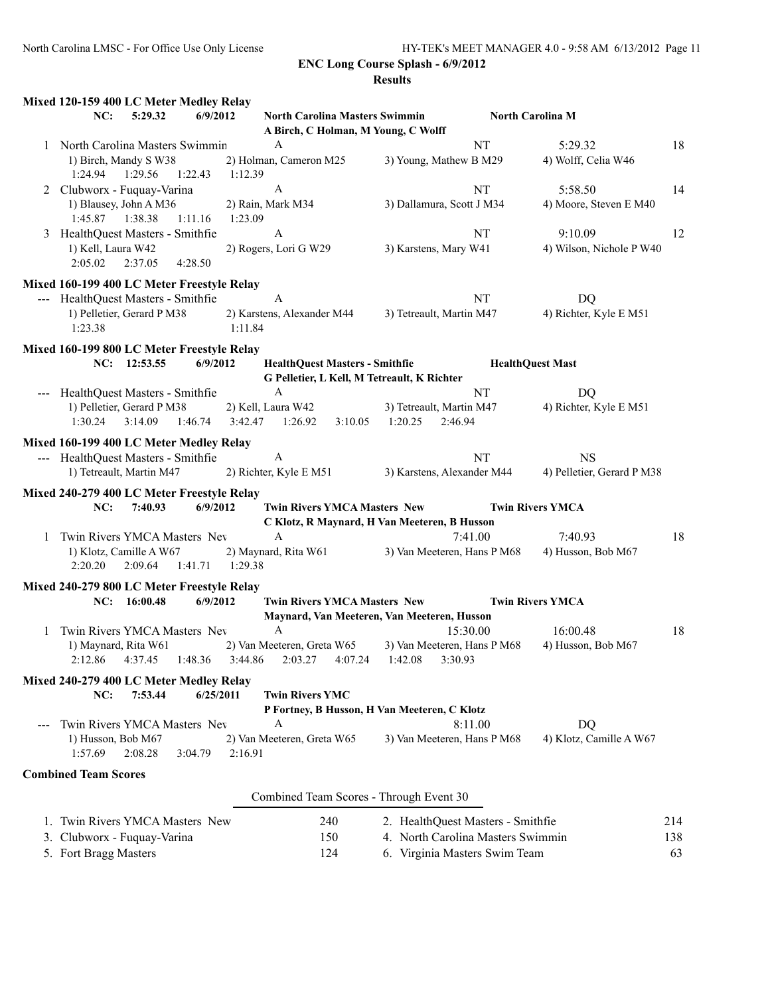|   | Mixed 120-159 400 LC Meter Medley Relay                     |                                                                                      |                                                |                            |     |
|---|-------------------------------------------------------------|--------------------------------------------------------------------------------------|------------------------------------------------|----------------------------|-----|
|   | 6/9/2012<br>NC:<br>5:29.32                                  | <b>North Carolina Masters Swimmin</b><br>A Birch, C Holman, M Young, C Wolff         |                                                | <b>North Carolina M</b>    |     |
|   | 1 North Carolina Masters Swimmin                            | A                                                                                    | NT                                             | 5:29.32                    | 18  |
|   | 1) Birch, Mandy S W38<br>1:24.94<br>1:29.56<br>1:22.43      | 2) Holman, Cameron M25<br>1:12.39                                                    | 3) Young, Mathew B M29                         | 4) Wolff, Celia W46        |     |
| 2 | Clubworx - Fuquay-Varina                                    | A                                                                                    | NT                                             | 5:58.50                    | 14  |
|   | 1) Blausey, John A M36<br>1:45.87<br>1:38.38<br>1:11.16     | 2) Rain, Mark M34<br>1:23.09                                                         | 3) Dallamura, Scott J M34                      | 4) Moore, Steven E M40     |     |
|   | 3 HealthQuest Masters - Smithfie                            | A                                                                                    | NT                                             | 9:10.09                    | 12  |
|   | 1) Kell, Laura W42<br>2:05.02<br>2:37.05<br>4:28.50         | 2) Rogers, Lori G W29                                                                | 3) Karstens, Mary W41                          | 4) Wilson, Nichole P W40   |     |
|   | Mixed 160-199 400 LC Meter Freestyle Relay                  |                                                                                      |                                                |                            |     |
|   | --- HealthQuest Masters - Smithfie                          | A                                                                                    | NT                                             | DQ                         |     |
|   | 1) Pelletier, Gerard P M38<br>1:23.38                       | 2) Karstens, Alexander M44<br>1:11.84                                                | 3) Tetreault, Martin M47                       | 4) Richter, Kyle E M51     |     |
|   | Mixed 160-199 800 LC Meter Freestyle Relay                  |                                                                                      |                                                |                            |     |
|   | NC: 12:53.55<br>6/9/2012                                    | <b>HealthQuest Masters - Smithfie</b><br>G Pelletier, L Kell, M Tetreault, K Richter |                                                | <b>HealthQuest Mast</b>    |     |
|   | --- HealthQuest Masters - Smithfie                          | $\boldsymbol{A}$                                                                     | NT                                             | DQ                         |     |
|   | 1) Pelletier, Gerard P M38<br>1:30.24<br>3:14.09<br>1:46.74 | 2) Kell, Laura W42<br>3:42.47<br>1:26.92<br>3:10.05                                  | 3) Tetreault, Martin M47<br>1:20.25<br>2:46.94 | 4) Richter, Kyle E M51     |     |
|   | Mixed 160-199 400 LC Meter Medley Relay                     |                                                                                      |                                                |                            |     |
|   | --- HealthQuest Masters - Smithfie                          | $\mathbf{A}$                                                                         | NT                                             | <b>NS</b>                  |     |
|   | 1) Tetreault, Martin M47                                    | 2) Richter, Kyle E M51                                                               | 3) Karstens, Alexander M44                     | 4) Pelletier, Gerard P M38 |     |
|   | Mixed 240-279 400 LC Meter Freestyle Relay                  |                                                                                      |                                                |                            |     |
|   | 6/9/2012<br>NC:<br>7:40.93                                  | <b>Twin Rivers YMCA Masters New</b><br>C Klotz, R Maynard, H Van Meeteren, B Husson  |                                                | <b>Twin Rivers YMCA</b>    |     |
| 1 | Twin Rivers YMCA Masters Nev                                | A                                                                                    | 7:41.00                                        | 7:40.93                    | 18  |
|   | 1) Klotz, Camille A W67<br>2:20.20<br>2:09.64<br>1:41.71    | 2) Maynard, Rita W61<br>1:29.38                                                      | 3) Van Meeteren, Hans P M68                    | 4) Husson, Bob M67         |     |
|   | Mixed 240-279 800 LC Meter Freestyle Relay                  |                                                                                      |                                                |                            |     |
|   | NC: 16:00.48<br>6/9/2012                                    | <b>Twin Rivers YMCA Masters New</b><br>Maynard, Van Meeteren, Van Meeteren, Husson   |                                                | <b>Twin Rivers YMCA</b>    |     |
| 1 | Twin Rivers YMCA Masters Nev                                | A                                                                                    | 15:30.00                                       | 16:00.48                   | 18  |
|   | 1) Maynard, Rita W61                                        | 2) Van Meeteren, Greta W65                                                           | 3) Van Meeteren, Hans P M68                    | 4) Husson, Bob M67         |     |
|   | 2:12.86<br>4:37.45<br>1:48.36                               | 3:44.86<br>2:03.27<br>4:07.24                                                        | 1:42.08<br>3:30.93                             |                            |     |
|   | Mixed 240-279 400 LC Meter Medley Relay                     |                                                                                      |                                                |                            |     |
|   | NC:<br>7:53.44<br>6/25/2011                                 | <b>Twin Rivers YMC</b><br>P Fortney, B Husson, H Van Meeteren, C Klotz               |                                                |                            |     |
|   | Twin Rivers YMCA Masters Nev                                | A                                                                                    | 8:11.00                                        | DQ                         |     |
|   | 1) Husson, Bob M67<br>1:57.69<br>2:08.28<br>3:04.79         | 2) Van Meeteren, Greta W65<br>2:16.91                                                | 3) Van Meeteren, Hans P M68                    | 4) Klotz, Camille A W67    |     |
|   | <b>Combined Team Scores</b>                                 |                                                                                      |                                                |                            |     |
|   |                                                             | Combined Team Scores - Through Event 30                                              |                                                |                            |     |
|   | 1. Twin Rivers YMCA Masters New                             | 240                                                                                  | 2. HealthQuest Masters - Smithfie              |                            | 214 |
|   | 3. Clubworx - Fuquay-Varina                                 | 150                                                                                  | 4. North Carolina Masters Swimmin              |                            | 138 |
|   | 5. Fort Bragg Masters                                       | 124                                                                                  | 6. Virginia Masters Swim Team                  |                            | 63  |